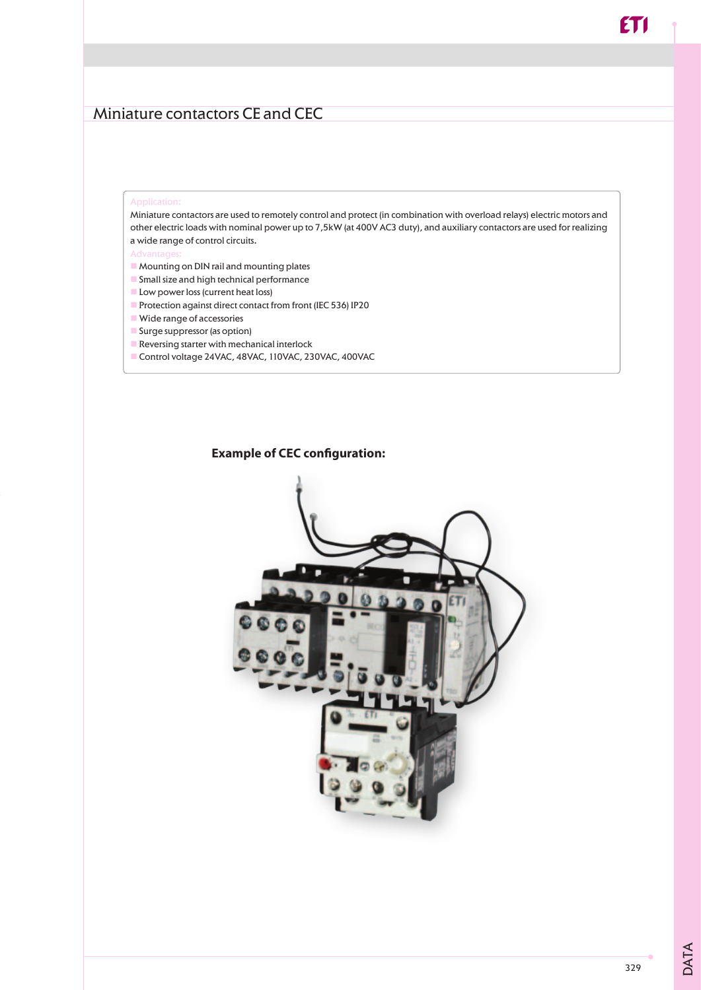Miniature contactors are used to remotely control and protect (in combination with overload relays) electric motors and other electric loads with nominal power up to 7,5kW (at 400V AC3 duty), and auxiliary contactors are used for realizing a wide range of control circuits.

- $\blacksquare$  Mounting on DIN rail and mounting plates
- **n** Small size and high technical performance
- **Low power loss (current heat loss)**
- n Protection against direct contact from front (IEC 536) IP20
- $\blacksquare$  Wide range of accessories
- Surge suppressor (as option)
- $\blacksquare$  Reversing starter with mechanical interlock
- Control voltage 24VAC, 48VAC, 110VAC, 230VAC, 400VAC

#### **Example of CEC configuration:**



DATA

**ET1**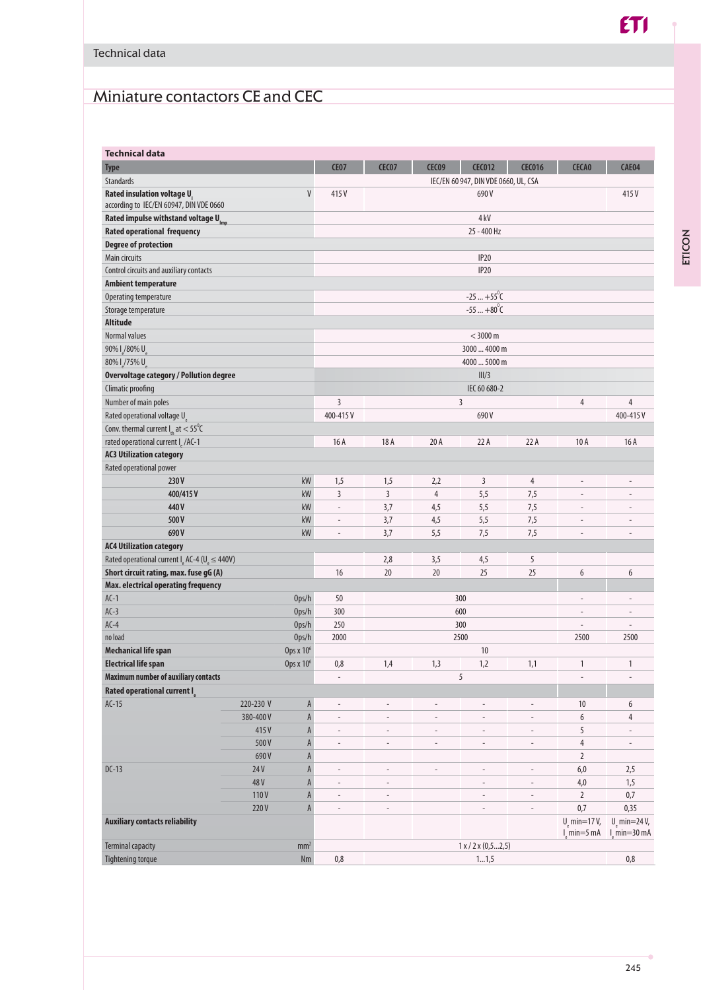# Miniature contactors CE and CEC

| <b>Technical data</b>                                            |                       |                                                      |                          |                          |                                      |                          |                                |                                |  |  |
|------------------------------------------------------------------|-----------------------|------------------------------------------------------|--------------------------|--------------------------|--------------------------------------|--------------------------|--------------------------------|--------------------------------|--|--|
| <b>Type</b>                                                      |                       | <b>CE07</b>                                          | <b>CEC07</b>             | CEC09                    | <b>CEC012</b>                        | <b>CEC016</b>            | <b>CECA0</b>                   | CAE04                          |  |  |
| Standards                                                        |                       |                                                      |                          |                          | IEC/EN 60 947, DIN VDE 0660, UL, CSA |                          |                                |                                |  |  |
| Rated insulation voltage U                                       | V                     | 415V                                                 |                          |                          | 690V                                 |                          |                                | 415V                           |  |  |
| according to IEC/EN 60947, DIN VDE 0660                          |                       |                                                      |                          |                          |                                      |                          |                                |                                |  |  |
| Rated impulse withstand voltage Ump                              |                       |                                                      | 4 kV                     |                          |                                      |                          |                                |                                |  |  |
| <b>Rated operational frequency</b>                               |                       |                                                      |                          |                          | 25 - 400 Hz                          |                          |                                |                                |  |  |
| <b>Degree of protection</b>                                      |                       |                                                      |                          |                          |                                      |                          |                                |                                |  |  |
| Main circuits                                                    |                       |                                                      |                          |                          | <b>IP20</b>                          |                          |                                |                                |  |  |
| Control circuits and auxiliary contacts                          |                       |                                                      |                          |                          | <b>IP20</b>                          |                          |                                |                                |  |  |
| <b>Ambient temperature</b>                                       |                       |                                                      |                          |                          |                                      |                          |                                |                                |  |  |
| Operating temperature                                            |                       |                                                      | $-25+55^{\circ}C$        |                          |                                      |                          |                                |                                |  |  |
| Storage temperature                                              |                       |                                                      | $-55+80^{\circ}$ C       |                          |                                      |                          |                                |                                |  |  |
| Altitude                                                         |                       |                                                      |                          |                          |                                      |                          |                                |                                |  |  |
| Normal values                                                    |                       |                                                      |                          |                          | $<$ 3000 m                           |                          |                                |                                |  |  |
| 90% I /80% U                                                     |                       |                                                      |                          |                          | 3000  4000 m                         |                          |                                |                                |  |  |
| 80% l /75% U                                                     |                       |                                                      | 4000  5000 m             |                          |                                      |                          |                                |                                |  |  |
| <b>Overvoltage category / Pollution degree</b>                   |                       |                                                      |                          |                          | III/3                                |                          |                                |                                |  |  |
| Climatic proofing                                                |                       |                                                      |                          |                          | IEC 60 680-2                         |                          |                                |                                |  |  |
| Number of main poles                                             |                       | 3                                                    |                          |                          | 3                                    |                          | 4                              | 4                              |  |  |
| Rated operational voltage U                                      |                       | 400-415V                                             |                          |                          | 690V                                 |                          |                                | 400-415V                       |  |  |
| Conv. thermal current $I_{th}$ at $< 55^{\circ}$ C               |                       |                                                      |                          |                          |                                      |                          |                                |                                |  |  |
| rated operational current I /AC-1                                |                       | 16A                                                  | 18 A                     | 20 A                     | 22A                                  | 22A                      | 10 A                           | 16A                            |  |  |
| <b>AC3 Utilization category</b>                                  |                       |                                                      |                          |                          |                                      |                          |                                |                                |  |  |
| Rated operational power                                          |                       |                                                      |                          |                          |                                      |                          |                                |                                |  |  |
| 230V                                                             | kW                    | 1,5                                                  | 1,5                      | 2,2                      | 3                                    | $\overline{4}$           | $\overline{\phantom{m}}$       | -                              |  |  |
| 400/415V                                                         | kW                    | 3                                                    | $\overline{3}$           | $\overline{4}$           | 5,5                                  | 7,5                      | $\overline{a}$                 | $\overline{a}$                 |  |  |
| 440 V                                                            | kW                    | $\overline{\phantom{a}}$                             | 3,7                      | 4,5                      | 5,5                                  | 7,5                      | $\overline{a}$                 | $\overline{a}$                 |  |  |
| 500V                                                             | kW                    |                                                      | 3,7                      | 4,5                      | 5,5                                  | 7,5                      |                                | $\overline{a}$                 |  |  |
| kW<br>690V                                                       |                       | $\overline{\phantom{a}}$<br>$\overline{\phantom{a}}$ | 3,7                      | 5,5                      | 7,5                                  | 7,5                      | $\overline{a}$                 | $\overline{a}$                 |  |  |
| <b>AC4 Utilization category</b>                                  |                       |                                                      |                          |                          |                                      |                          |                                |                                |  |  |
| Rated operational current $Ie$ AC-4 (U <sub>e</sub> $\leq$ 440V) |                       |                                                      | 2,8                      | 3,5                      | 4,5                                  | 5                        |                                |                                |  |  |
| Short circuit rating, max. fuse gG (A)                           |                       | 16                                                   | 20                       | 20                       | 25                                   | 25                       | 6                              | 6                              |  |  |
| Max. electrical operating frequency                              |                       |                                                      |                          |                          |                                      |                          |                                |                                |  |  |
| $AC-1$                                                           | Ops/h                 | 50                                                   |                          |                          | 300                                  |                          | $\overline{a}$                 | $\overline{a}$                 |  |  |
| $AC-3$                                                           | Ops/h                 | 300                                                  |                          |                          | 600                                  |                          | $\overline{a}$                 | $\overline{a}$                 |  |  |
| $AC-4$                                                           | Ops/h                 | 250                                                  |                          |                          | 300                                  |                          | $\overline{\phantom{a}}$       | $\overline{a}$                 |  |  |
| no load                                                          | Ops/h                 | 2000                                                 |                          |                          | 2500                                 |                          | 2500                           | 2500                           |  |  |
| <b>Mechanical life span</b>                                      | Ops x 10 <sup>6</sup> |                                                      |                          |                          | 10                                   |                          |                                |                                |  |  |
| <b>Electrical life span</b>                                      | Ops x 10 <sup>6</sup> | 0,8                                                  | 1,4                      | 1,3                      | 1,2                                  | 1,1                      | $\mathbf{1}$                   | $\mathbf{1}$                   |  |  |
| <b>Maximum number of auxiliary contacts</b>                      |                       | $\overline{\phantom{a}}$                             |                          |                          | 5                                    |                          |                                | $\overline{\phantom{0}}$       |  |  |
| Rated operational current I                                      |                       |                                                      |                          |                          |                                      |                          |                                |                                |  |  |
| $AC-15$                                                          | 220-230 V             | A<br>$\overline{\phantom{m}}$                        |                          |                          |                                      |                          | 10                             | 6                              |  |  |
|                                                                  | 380-400V              | $\mathsf{A}$<br>$\overline{\phantom{a}}$             | $\overline{\phantom{a}}$ |                          |                                      | ÷                        | 6                              | 4                              |  |  |
|                                                                  | 415V                  | A<br>$\overline{a}$                                  | $\overline{\phantom{a}}$ | L.                       | $\overline{a}$                       | $\overline{a}$           | 5                              |                                |  |  |
|                                                                  | 500V                  | A<br>$\overline{\phantom{a}}$                        | $\overline{\phantom{a}}$ | $\overline{\phantom{a}}$ | $\overline{\phantom{a}}$             | $\overline{\phantom{a}}$ | $\overline{4}$                 | $\frac{1}{2}$                  |  |  |
|                                                                  | 690V                  |                                                      |                          |                          |                                      |                          | $\overline{2}$                 |                                |  |  |
| $DC-13$                                                          | 24V                   | A<br>A<br>$\frac{1}{2}$                              | $\overline{\phantom{a}}$ | $\overline{a}$           | $\overline{\phantom{a}}$             | $\overline{a}$           | $6,0$                          | 2,5                            |  |  |
|                                                                  | 48V                   | A<br>$\overline{\phantom{a}}$                        | $\overline{\phantom{a}}$ |                          | $\overline{a}$                       | $\overline{a}$           | $4,0$                          | 1,5                            |  |  |
|                                                                  | 110V                  | A<br>$\overline{\phantom{a}}$                        |                          |                          |                                      |                          | $\overline{2}$                 | $0,7$                          |  |  |
|                                                                  | 220V                  | $\mathsf{A}$<br>$\overline{\phantom{a}}$             | $\sim$                   |                          |                                      | $\overline{a}$           | 0,7                            | 0,35                           |  |  |
| <b>Auxiliary contacts reliability</b>                            |                       |                                                      |                          |                          |                                      |                          | $U_{\rm s}$ min=17 $V_{\rm s}$ | $U_{\rm p}$ min=24 $V_{\rm r}$ |  |  |
|                                                                  |                       |                                                      |                          |                          |                                      |                          | $l$ min=5 mA                   | $l$ min=30 mA                  |  |  |
| <b>Terminal capacity</b>                                         | mm <sup>2</sup>       |                                                      |                          |                          | $1 \times / 2 \times (0, 52, 5)$     |                          |                                |                                |  |  |
| <b>Tightening torque</b>                                         | Nm                    | $0,8$                                                |                          |                          | 11,5                                 |                          |                                | 0,8                            |  |  |

 $ETI$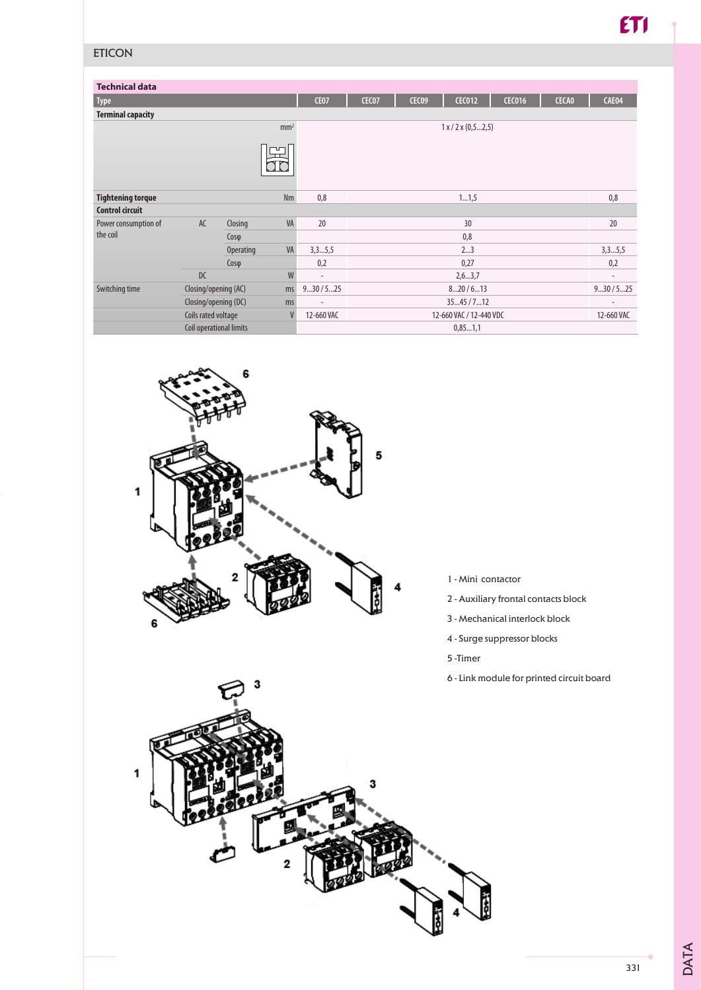### ETICON

| <b>Technical data</b>                  |                            |                  |                 |                         |              |              |                              |               |              |                          |
|----------------------------------------|----------------------------|------------------|-----------------|-------------------------|--------------|--------------|------------------------------|---------------|--------------|--------------------------|
| <b>Type</b>                            |                            |                  |                 | <b>CE07</b>             | <b>CEC07</b> | <b>CEC09</b> | <b>CEC012</b>                | <b>CEC016</b> | <b>CECA0</b> | CAE04                    |
| <b>Terminal capacity</b>               |                            |                  |                 |                         |              |              |                              |               |              |                          |
|                                        |                            |                  | mm <sup>2</sup> |                         |              |              | $1 \times 2 \times (0.52.5)$ |               |              |                          |
|                                        |                            |                  | ┰<br>┯          |                         |              |              |                              |               |              |                          |
| <b>Tightening torque</b>               |                            |                  | <b>Nm</b>       | 0,8                     |              |              | 11,5                         |               |              | 0,8                      |
| <b>Control circuit</b>                 |                            |                  |                 |                         |              |              |                              |               |              |                          |
| Power consumption of<br>the coil       | AC                         | Closing          | VA              | 20<br>30                |              |              |                              |               | 20           |                          |
|                                        |                            | $Cos\varphi$     |                 | 0,8                     |              |              |                              |               |              |                          |
|                                        |                            | <b>Operating</b> | VA              | 3,35,5                  |              |              | 23                           |               |              | 3,35,5                   |
|                                        |                            | $Cos\varphi$     |                 | 0,2                     | 0,27         |              |                              |               |              | 0,2                      |
|                                        | DC                         |                  | W               | $\sim$                  |              |              | 2, 63, 7                     |               |              | $\overline{\phantom{a}}$ |
| Switching time<br>Closing/opening (AC) |                            | ms               | 930/525         | 820/613                 |              |              |                              | 930/525       |              |                          |
|                                        | Closing/opening (DC)<br>ms |                  |                 | 3545/712                |              |              |                              |               |              |                          |
|                                        | V<br>Coils rated voltage   |                  | 12-660 VAC      | 12-660 VAC / 12-440 VDC |              |              |                              |               | 12-660 VAC   |                          |
|                                        | Coil operational limits    |                  |                 | 0,851,1                 |              |              |                              |               |              |                          |



- 1 Mini contactor
- 2 Auxiliary frontal contacts block
- 3 Mechanical interlock block
- 4 Surge suppressor blocks
- 5 -Timer
- 6 Link module for printed circuit board



DATA

331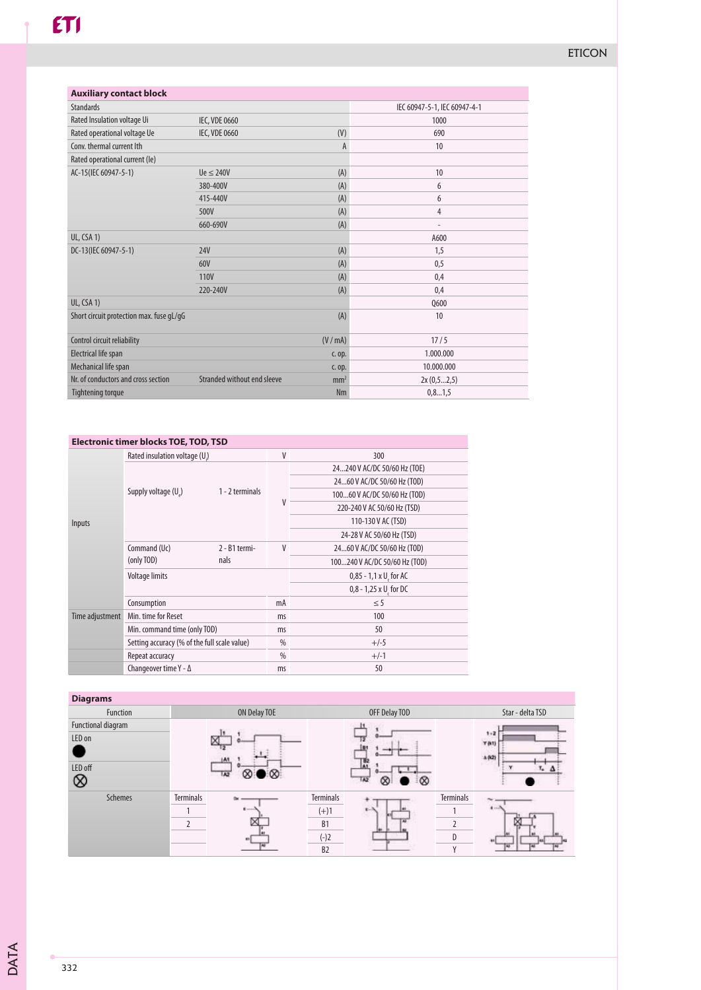| <b>Auxiliary contact block</b>           |                             |                 |                              |  |
|------------------------------------------|-----------------------------|-----------------|------------------------------|--|
| <b>Standards</b>                         |                             |                 | IEC 60947-5-1, IEC 60947-4-1 |  |
| Rated Insulation voltage Ui              | <b>IEC, VDE 0660</b>        |                 | 1000                         |  |
| Rated operational voltage Ue             | <b>IEC, VDE 0660</b>        | (V)             | 690                          |  |
| Conv. thermal current lth                |                             | A               | 10                           |  |
| Rated operational current (le)           |                             |                 |                              |  |
| AC-15(IEC 60947-5-1)                     | $Ue \leq 240V$              | (A)             | 10                           |  |
|                                          | 380-400V                    | (A)             | 6                            |  |
|                                          | 415-440V                    | (A)             | 6                            |  |
|                                          | 500V                        | (A)             | $\overline{4}$               |  |
|                                          | 660-690V                    | (A)             | $\overline{\phantom{a}}$     |  |
| UL, CSA 1)                               |                             |                 | A600                         |  |
| DC-13(IEC 60947-5-1)                     | <b>24V</b>                  | (A)             | 1,5                          |  |
|                                          | 60V                         | (A)             | 0,5                          |  |
|                                          | <b>110V</b>                 | (A)             | 0.4                          |  |
|                                          | 220-240V                    | (A)             | 0.4                          |  |
| UL, CSA 1)                               |                             |                 | <b>Q600</b>                  |  |
| Short circuit protection max. fuse gL/gG |                             | (A)             | 10                           |  |
| Control circuit reliability              |                             | (V/mA)          | 17/5                         |  |
| Electrical life span                     |                             | c. op.          | 1.000.000                    |  |
| Mechanical life span                     |                             | c. op.          | 10.000.000                   |  |
| Nr. of conductors and cross section      | Stranded without end sleeve | mm <sup>2</sup> | 2x(0,52,5)                   |  |
| <b>Tightening torque</b>                 |                             | <b>Nm</b>       | 0, 81, 5                     |  |

#### **Electronic timer blocks TOE, TOD, TSD**

|                 | Rated insulation voltage (U.)                |                 | V  | 300                            |  |  |
|-----------------|----------------------------------------------|-----------------|----|--------------------------------|--|--|
| Inputs          |                                              |                 |    | 24240 V AC/DC 50/60 Hz (TOE)   |  |  |
|                 | Supply voltage $(U)$                         |                 |    | 2460 V AC/DC 50/60 Hz (TOD)    |  |  |
|                 |                                              | 1 - 2 terminals | V  | 10060 V AC/DC 50/60 Hz (TOD)   |  |  |
|                 |                                              |                 |    | 220-240 V AC 50/60 Hz (TSD)    |  |  |
|                 |                                              |                 |    | 110-130 V AC (TSD)             |  |  |
|                 |                                              |                 |    | 24-28 V AC 50/60 Hz (TSD)      |  |  |
|                 | Command (Uc)<br>(only TOD)                   | 2 - B1 termi-   | V  | 2460 V AC/DC 50/60 Hz (TOD)    |  |  |
|                 |                                              | nals            |    | 100240 V AC/DC 50/60 Hz (TOD)  |  |  |
|                 | <b>Voltage limits</b>                        |                 |    | $0,85 - 1,1 \times U$ , for AC |  |  |
|                 |                                              |                 |    | $0,8 - 1,25 \times U$ for DC   |  |  |
|                 | Consumption                                  |                 | mA | $\leq$ 5                       |  |  |
| Time adjustment | Min. time for Reset                          |                 | ms | 100                            |  |  |
|                 | Min. command time (only TOD)                 |                 | ms | 50                             |  |  |
|                 | Setting accuracy (% of the full scale value) |                 |    | $+/-5$                         |  |  |
|                 | Repeat accuracy                              |                 |    | $+/-1$                         |  |  |
|                 | Changeover time $Y - \Delta$                 |                 |    | 50                             |  |  |

#### **Diagrams** Function ON Delay TOE OFF Delay TOD Star - delta TSD Functional diagram  $\boxtimes^{\mathbf{b}}$  $1.2$ LED on Y (k)  $\bullet$  $582$  $\mathbf{M}$ LED off  $\overline{\otimes\bullet\otimes}$ C  $\overline{M}$ ಁ⊗  $^{\circ}$ Schemes Terminals <del>Network Terminals</del> Terminals Terminals Terminals ř. ¥. 1  $\leftarrow$  1  $\leftarrow$  1  $\leftarrow$  1 2  $\mathbb{E}$  B1  $\mathbb{E}$  2 (-)2 D  $B2 \longrightarrow Y$